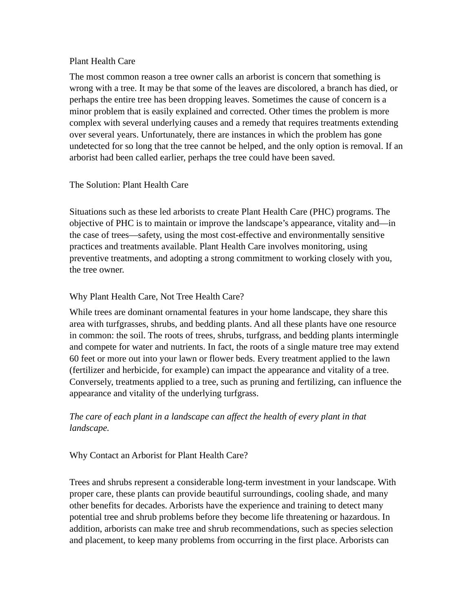#### Plant Health Care

The most common reason a tree owner calls an arborist is concern that something is wrong with a tree. It may be that some of the leaves are discolored, a branch has died, or perhaps the entire tree has been dropping leaves. Sometimes the cause of concern is a minor problem that is easily explained and corrected. Other times the problem is more complex with several underlying causes and a remedy that requires treatments extending over several years. Unfortunately, there are instances in which the problem has gone undetected for so long that the tree cannot be helped, and the only option is removal. If an arborist had been called earlier, perhaps the tree could have been saved.

### The Solution: Plant Health Care

Situations such as these led arborists to create Plant Health Care (PHC) programs. The objective of PHC is to maintain or improve the landscape's appearance, vitality and—in the case of trees—safety, using the most cost-effective and environmentally sensitive practices and treatments available. Plant Health Care involves monitoring, using preventive treatments, and adopting a strong commitment to working closely with you, the tree owner.

### Why Plant Health Care, Not Tree Health Care?

While trees are dominant ornamental features in your home landscape, they share this area with turfgrasses, shrubs, and bedding plants. And all these plants have one resource in common: the soil. The roots of trees, shrubs, turfgrass, and bedding plants intermingle and compete for water and nutrients. In fact, the roots of a single mature tree may extend 60 feet or more out into your lawn or flower beds. Every treatment applied to the lawn (fertilizer and herbicide, for example) can impact the appearance and vitality of a tree. Conversely, treatments applied to a tree, such as pruning and fertilizing, can influence the appearance and vitality of the underlying turfgrass.

## *The care of each plant in a landscape can affect the health of every plant in that landscape.*

### Why Contact an Arborist for Plant Health Care?

Trees and shrubs represent a considerable long-term investment in your landscape. With proper care, these plants can provide beautiful surroundings, cooling shade, and many other benefits for decades. Arborists have the experience and training to detect many potential tree and shrub problems before they become life threatening or hazardous. In addition, arborists can make tree and shrub recommendations, such as species selection and placement, to keep many problems from occurring in the first place. Arborists can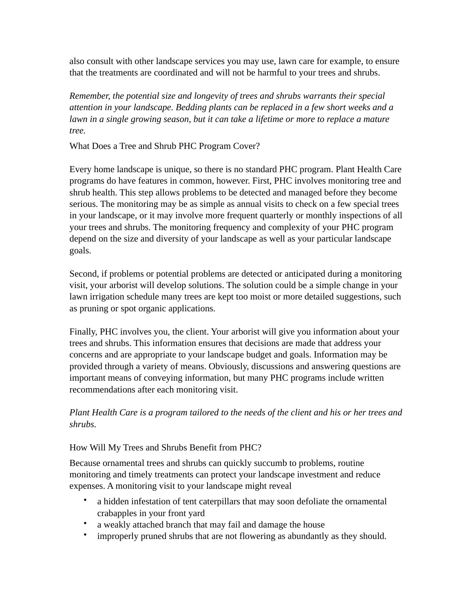also consult with other landscape services you may use, lawn care for example, to ensure that the treatments are coordinated and will not be harmful to your trees and shrubs.

*Remember, the potential size and longevity of trees and shrubs warrants their special attention in your landscape. Bedding plants can be replaced in a few short weeks and a lawn in a single growing season, but it can take a lifetime or more to replace a mature tree.*

What Does a Tree and Shrub PHC Program Cover?

Every home landscape is unique, so there is no standard PHC program. Plant Health Care programs do have features in common, however. First, PHC involves monitoring tree and shrub health. This step allows problems to be detected and managed before they become serious. The monitoring may be as simple as annual visits to check on a few special trees in your landscape, or it may involve more frequent quarterly or monthly inspections of all your trees and shrubs. The monitoring frequency and complexity of your PHC program depend on the size and diversity of your landscape as well as your particular landscape goals.

Second, if problems or potential problems are detected or anticipated during a monitoring visit, your arborist will develop solutions. The solution could be a simple change in your lawn irrigation schedule many trees are kept too moist or more detailed suggestions, such as pruning or spot organic applications.

Finally, PHC involves you, the client. Your arborist will give you information about your trees and shrubs. This information ensures that decisions are made that address your concerns and are appropriate to your landscape budget and goals. Information may be provided through a variety of means. Obviously, discussions and answering questions are important means of conveying information, but many PHC programs include written recommendations after each monitoring visit.

# *Plant Health Care is a program tailored to the needs of the client and his or her trees and shrubs.*

## How Will My Trees and Shrubs Benefit from PHC?

Because ornamental trees and shrubs can quickly succumb to problems, routine monitoring and timely treatments can protect your landscape investment and reduce expenses. A monitoring visit to your landscape might reveal

- a hidden infestation of tent caterpillars that may soon defoliate the ornamental crabapples in your front yard
- a weakly attached branch that may fail and damage the house
- improperly pruned shrubs that are not flowering as abundantly as they should.